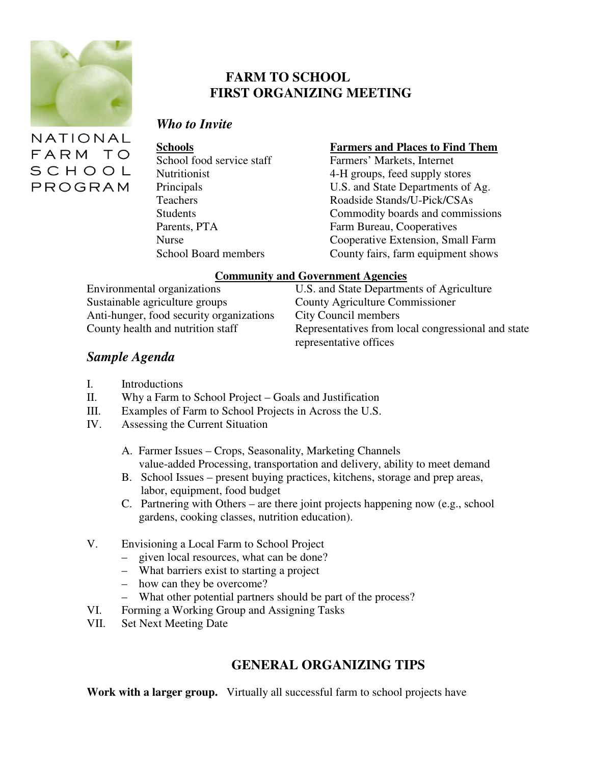

## **FARM TO SCHOOL FIRST ORGANIZING MEETING**

### *Who to Invite*

NATIONAL FARM TO SCHOOL PROGRAM

#### **Schools Farmers and Places to Find Them**

School food service staff Farmers' Markets, Internet Nutritionist 4-H groups, feed supply stores Principals U.S. and State Departments of Ag. Teachers Roadside Stands/U-Pick/CSAs Students **Commodity** boards and commissions Parents, PTA Farm Bureau, Cooperatives Nurse Cooperative Extension, Small Farm School Board members County fairs, farm equipment shows

#### **Community and Government Agencies**

Sustainable agriculture groups County Agriculture Commissioner Anti-hunger, food security organizations City Council members<br>County health and nutrition staff Representatives from lo

Environmental organizations U.S. and State Departments of Agriculture Representatives from local congressional and state representative offices

## *Sample Agenda*

- I. Introductions
- II. Why a Farm to School Project Goals and Justification
- III. Examples of Farm to School Projects in Across the U.S.
- IV. Assessing the Current Situation
	- A. Farmer Issues Crops, Seasonality, Marketing Channels value-added Processing, transportation and delivery, ability to meet demand
	- B. School Issues present buying practices, kitchens, storage and prep areas, labor, equipment, food budget
	- C. Partnering with Others are there joint projects happening now (e.g., school gardens, cooking classes, nutrition education).
- V. Envisioning a Local Farm to School Project
	- given local resources, what can be done?
	- What barriers exist to starting a project
	- how can they be overcome?
	- What other potential partners should be part of the process?
- VI. Forming a Working Group and Assigning Tasks
- VII. Set Next Meeting Date

# **GENERAL ORGANIZING TIPS**

**Work with a larger group.** Virtually all successful farm to school projects have